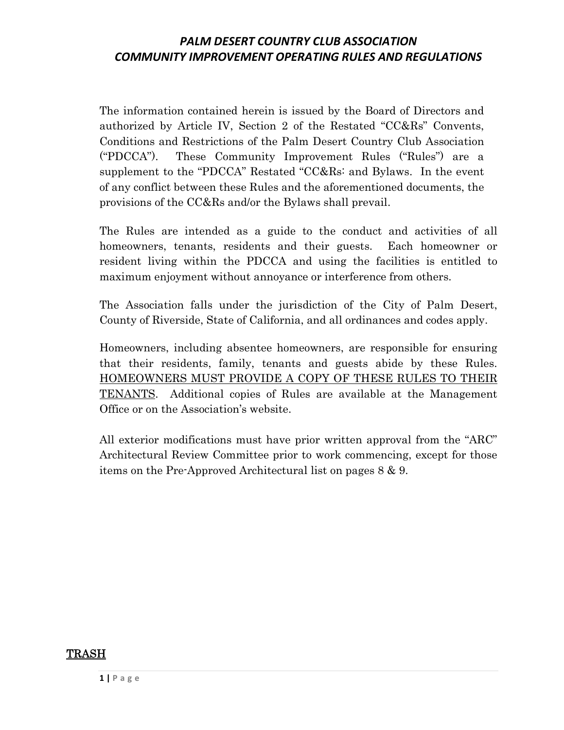The information contained herein is issued by the Board of Directors and authorized by Article IV, Section 2 of the Restated "CC&Rs" Convents, Conditions and Restrictions of the Palm Desert Country Club Association ("PDCCA"). These Community Improvement Rules ("Rules") are a supplement to the "PDCCA" Restated "CC&Rs: and Bylaws. In the event of any conflict between these Rules and the aforementioned documents, the provisions of the CC&Rs and/or the Bylaws shall prevail.

The Rules are intended as a guide to the conduct and activities of all homeowners, tenants, residents and their guests. Each homeowner or resident living within the PDCCA and using the facilities is entitled to maximum enjoyment without annoyance or interference from others.

The Association falls under the jurisdiction of the City of Palm Desert, County of Riverside, State of California, and all ordinances and codes apply.

Homeowners, including absentee homeowners, are responsible for ensuring that their residents, family, tenants and guests abide by these Rules. HOMEOWNERS MUST PROVIDE A COPY OF THESE RULES TO THEIR TENANTS. Additional copies of Rules are available at the Management Office or on the Association's website.

All exterior modifications must have prior written approval from the "ARC" Architectural Review Committee prior to work commencing, except for those items on the Pre-Approved Architectural list on pages 8 & 9.

#### TRASH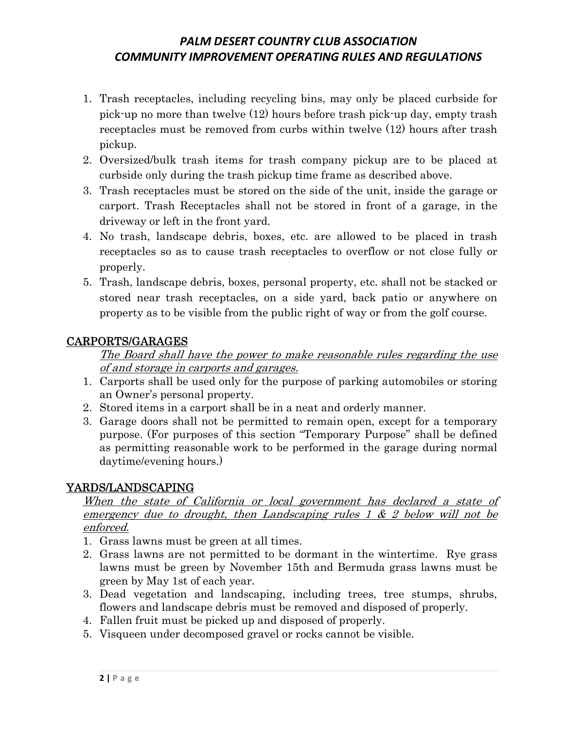- 1. Trash receptacles, including recycling bins, may only be placed curbside for pick-up no more than twelve (12) hours before trash pick-up day, empty trash receptacles must be removed from curbs within twelve (12) hours after trash pickup.
- 2. Oversized/bulk trash items for trash company pickup are to be placed at curbside only during the trash pickup time frame as described above.
- 3. Trash receptacles must be stored on the side of the unit, inside the garage or carport. Trash Receptacles shall not be stored in front of a garage, in the driveway or left in the front yard.
- 4. No trash, landscape debris, boxes, etc. are allowed to be placed in trash receptacles so as to cause trash receptacles to overflow or not close fully or properly.
- 5. Trash, landscape debris, boxes, personal property, etc. shall not be stacked or stored near trash receptacles, on a side yard, back patio or anywhere on property as to be visible from the public right of way or from the golf course.

### CARPORTS/GARAGES

The Board shall have the power to make reasonable rules regarding the use of and storage in carports and garages.

- 1. Carports shall be used only for the purpose of parking automobiles or storing an Owner's personal property.
- 2. Stored items in a carport shall be in a neat and orderly manner.
- 3. Garage doors shall not be permitted to remain open, except for a temporary purpose. (For purposes of this section "Temporary Purpose" shall be defined as permitting reasonable work to be performed in the garage during normal daytime/evening hours.)

### YARDS/LANDSCAPING

#### When the state of California or local government has declared a state of emergency due to drought, then Landscaping rules  $1 \& 2$  below will not be enforced.

- 1. Grass lawns must be green at all times.
- 2. Grass lawns are not permitted to be dormant in the wintertime. Rye grass lawns must be green by November 15th and Bermuda grass lawns must be green by May 1st of each year.
- 3. Dead vegetation and landscaping, including trees, tree stumps, shrubs, flowers and landscape debris must be removed and disposed of properly.
- 4. Fallen fruit must be picked up and disposed of properly.
- 5. Visqueen under decomposed gravel or rocks cannot be visible.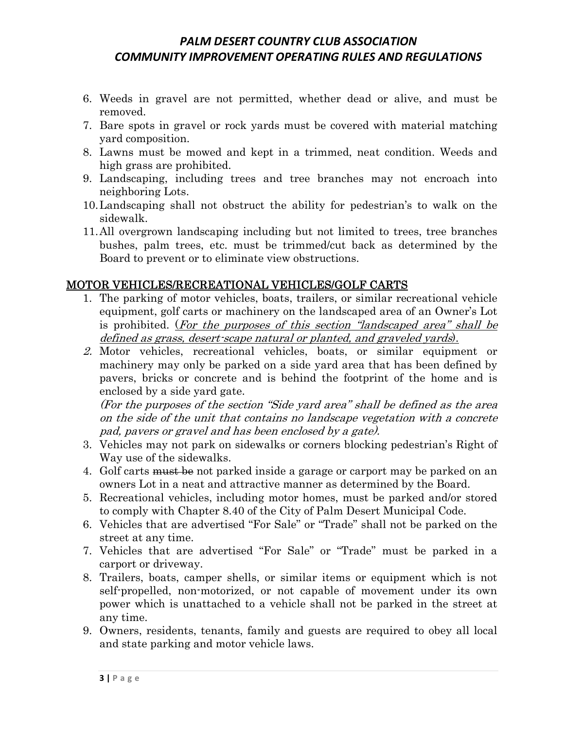- 6. Weeds in gravel are not permitted, whether dead or alive, and must be removed.
- 7. Bare spots in gravel or rock yards must be covered with material matching yard composition.
- 8. Lawns must be mowed and kept in a trimmed, neat condition. Weeds and high grass are prohibited.
- 9. Landscaping, including trees and tree branches may not encroach into neighboring Lots.
- 10.Landscaping shall not obstruct the ability for pedestrian's to walk on the sidewalk.
- 11.All overgrown landscaping including but not limited to trees, tree branches bushes, palm trees, etc. must be trimmed/cut back as determined by the Board to prevent or to eliminate view obstructions.

### MOTOR VEHICLES/RECREATIONAL VEHICLES/GOLF CARTS

- 1. The parking of motor vehicles, boats, trailers, or similar recreational vehicle equipment, golf carts or machinery on the landscaped area of an Owner's Lot is prohibited. (For the purposes of this section "landscaped area" shall be defined as grass, desert-scape natural or planted, and graveled yards).
- 2. Motor vehicles, recreational vehicles, boats, or similar equipment or machinery may only be parked on a side yard area that has been defined by pavers, bricks or concrete and is behind the footprint of the home and is enclosed by a side yard gate.

(For the purposes of the section "Side yard area" shall be defined as the area on the side of the unit that contains no landscape vegetation with a concrete pad, pavers or gravel and has been enclosed by a gate).

- 3. Vehicles may not park on sidewalks or corners blocking pedestrian's Right of Way use of the sidewalks.
- 4. Golf carts must be not parked inside a garage or carport may be parked on an owners Lot in a neat and attractive manner as determined by the Board.
- 5. Recreational vehicles, including motor homes, must be parked and/or stored to comply with Chapter 8.40 of the City of Palm Desert Municipal Code.
- 6. Vehicles that are advertised "For Sale" or "Trade" shall not be parked on the street at any time.
- 7. Vehicles that are advertised "For Sale" or "Trade" must be parked in a carport or driveway.
- 8. Trailers, boats, camper shells, or similar items or equipment which is not self-propelled, non-motorized, or not capable of movement under its own power which is unattached to a vehicle shall not be parked in the street at any time.
- 9. Owners, residents, tenants, family and guests are required to obey all local and state parking and motor vehicle laws.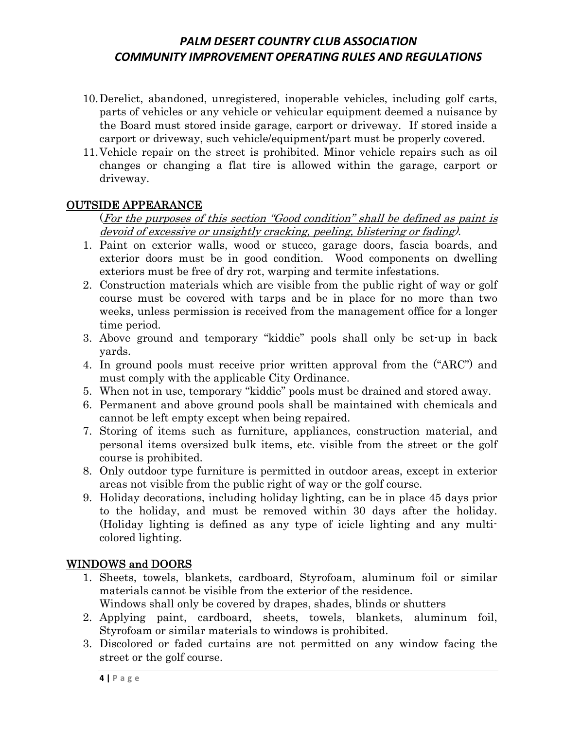- 10.Derelict, abandoned, unregistered, inoperable vehicles, including golf carts, parts of vehicles or any vehicle or vehicular equipment deemed a nuisance by the Board must stored inside garage, carport or driveway. If stored inside a carport or driveway, such vehicle/equipment/part must be properly covered.
- 11.Vehicle repair on the street is prohibited. Minor vehicle repairs such as oil changes or changing a flat tire is allowed within the garage, carport or driveway.

#### OUTSIDE APPEARANCE

#### (For the purposes of this section "Good condition" shall be defined as paint is devoid of excessive or unsightly cracking, peeling, blistering or fading).

- 1. Paint on exterior walls, wood or stucco, garage doors, fascia boards, and exterior doors must be in good condition. Wood components on dwelling exteriors must be free of dry rot, warping and termite infestations.
- 2. Construction materials which are visible from the public right of way or golf course must be covered with tarps and be in place for no more than two weeks, unless permission is received from the management office for a longer time period.
- 3. Above ground and temporary "kiddie" pools shall only be set-up in back yards.
- 4. In ground pools must receive prior written approval from the ("ARC") and must comply with the applicable City Ordinance.
- 5. When not in use, temporary "kiddie" pools must be drained and stored away.
- 6. Permanent and above ground pools shall be maintained with chemicals and cannot be left empty except when being repaired.
- 7. Storing of items such as furniture, appliances, construction material, and personal items oversized bulk items, etc. visible from the street or the golf course is prohibited.
- 8. Only outdoor type furniture is permitted in outdoor areas, except in exterior areas not visible from the public right of way or the golf course.
- 9. Holiday decorations, including holiday lighting, can be in place 45 days prior to the holiday, and must be removed within 30 days after the holiday. (Holiday lighting is defined as any type of icicle lighting and any multicolored lighting.

#### WINDOWS and DOORS

- 1. Sheets, towels, blankets, cardboard, Styrofoam, aluminum foil or similar materials cannot be visible from the exterior of the residence.
	- Windows shall only be covered by drapes, shades, blinds or shutters
- 2. Applying paint, cardboard, sheets, towels, blankets, aluminum foil, Styrofoam or similar materials to windows is prohibited.
- 3. Discolored or faded curtains are not permitted on any window facing the street or the golf course.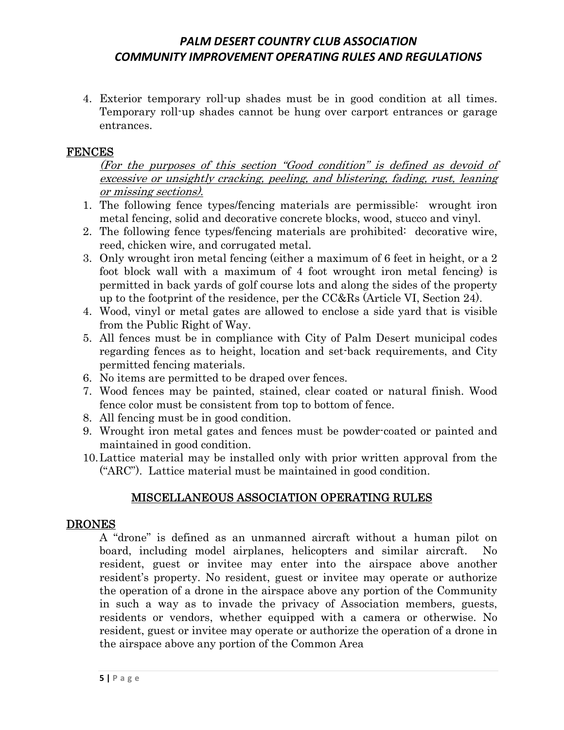4. Exterior temporary roll-up shades must be in good condition at all times. Temporary roll-up shades cannot be hung over carport entrances or garage entrances.

#### FENCES

(For the purposes of this section "Good condition" is defined as devoid of excessive or unsightly cracking, peeling, and blistering, fading, rust, leaning or missing sections).

- 1. The following fence types/fencing materials are permissible: wrought iron metal fencing, solid and decorative concrete blocks, wood, stucco and vinyl.
- 2. The following fence types/fencing materials are prohibited: decorative wire, reed, chicken wire, and corrugated metal.
- 3. Only wrought iron metal fencing (either a maximum of 6 feet in height, or a 2 foot block wall with a maximum of 4 foot wrought iron metal fencing) is permitted in back yards of golf course lots and along the sides of the property up to the footprint of the residence, per the  $CC&Rs$  (Article VI, Section 24).
- 4. Wood, vinyl or metal gates are allowed to enclose a side yard that is visible from the Public Right of Way.
- 5. All fences must be in compliance with City of Palm Desert municipal codes regarding fences as to height, location and set-back requirements, and City permitted fencing materials.
- 6. No items are permitted to be draped over fences.
- 7. Wood fences may be painted, stained, clear coated or natural finish. Wood fence color must be consistent from top to bottom of fence.
- 8. All fencing must be in good condition.
- 9. Wrought iron metal gates and fences must be powder-coated or painted and maintained in good condition.
- 10.Lattice material may be installed only with prior written approval from the ("ARC"). Lattice material must be maintained in good condition.

### MISCELLANEOUS ASSOCIATION OPERATING RULES

#### DRONES

A "drone" is defined as an unmanned aircraft without a human pilot on board, including model airplanes, helicopters and similar aircraft. No resident, guest or invitee may enter into the airspace above another resident's property. No resident, guest or invitee may operate or authorize the operation of a drone in the airspace above any portion of the Community in such a way as to invade the privacy of Association members, guests, residents or vendors, whether equipped with a camera or otherwise. No resident, guest or invitee may operate or authorize the operation of a drone in the airspace above any portion of the Common Area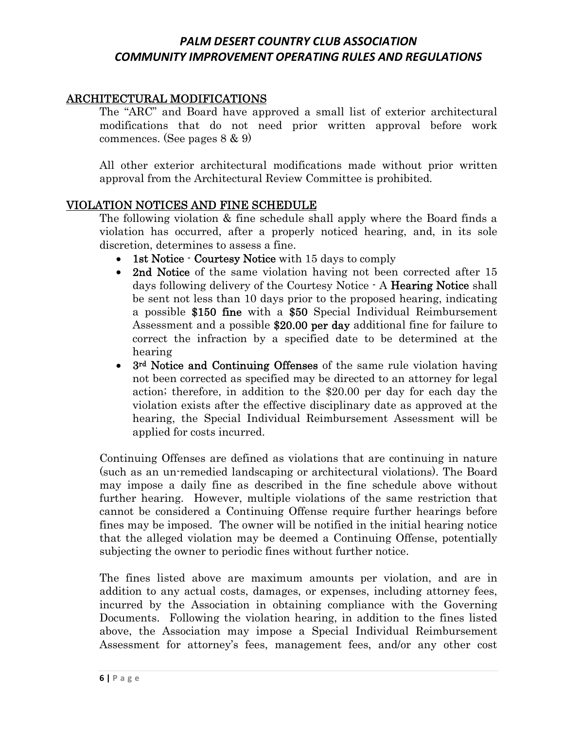#### ARCHITECTURAL MODIFICATIONS

The "ARC" and Board have approved a small list of exterior architectural modifications that do not need prior written approval before work commences. (See pages 8 & 9)

All other exterior architectural modifications made without prior written approval from the Architectural Review Committee is prohibited.

#### VIOLATION NOTICES AND FINE SCHEDULE

The following violation & fine schedule shall apply where the Board finds a violation has occurred, after a properly noticed hearing, and, in its sole discretion, determines to assess a fine.

- 1st Notice  $\cdot$  Courtesy Notice with 15 days to comply
- 2nd Notice of the same violation having not been corrected after 15 days following delivery of the Courtesy Notice - A Hearing Notice shall be sent not less than 10 days prior to the proposed hearing, indicating a possible \$150 fine with a \$50 Special Individual Reimbursement Assessment and a possible \$20.00 per day additional fine for failure to correct the infraction by a specified date to be determined at the hearing
- 3<sup>rd</sup> Notice and Continuing Offenses of the same rule violation having not been corrected as specified may be directed to an attorney for legal action; therefore, in addition to the \$20.00 per day for each day the violation exists after the effective disciplinary date as approved at the hearing, the Special Individual Reimbursement Assessment will be applied for costs incurred.

Continuing Offenses are defined as violations that are continuing in nature (such as an un-remedied landscaping or architectural violations). The Board may impose a daily fine as described in the fine schedule above without further hearing. However, multiple violations of the same restriction that cannot be considered a Continuing Offense require further hearings before fines may be imposed. The owner will be notified in the initial hearing notice that the alleged violation may be deemed a Continuing Offense, potentially subjecting the owner to periodic fines without further notice.

The fines listed above are maximum amounts per violation, and are in addition to any actual costs, damages, or expenses, including attorney fees, incurred by the Association in obtaining compliance with the Governing Documents. Following the violation hearing, in addition to the fines listed above, the Association may impose a Special Individual Reimbursement Assessment for attorney's fees, management fees, and/or any other cost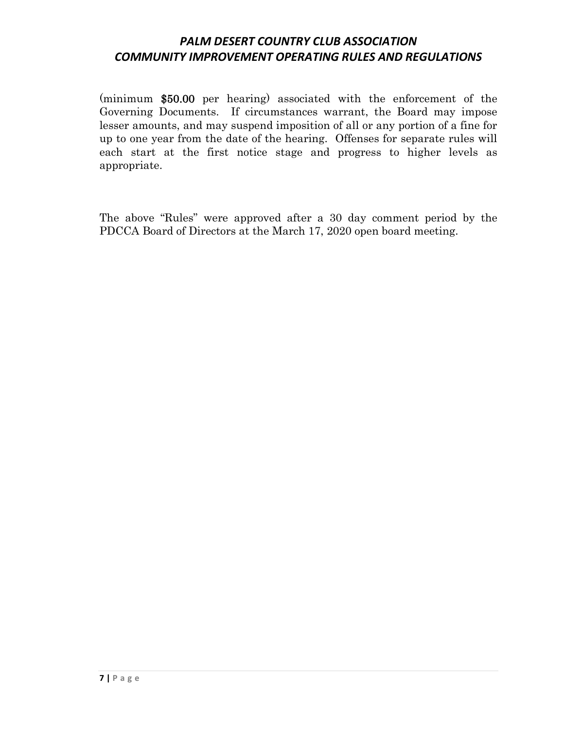(minimum \$50.00 per hearing) associated with the enforcement of the Governing Documents. If circumstances warrant, the Board may impose lesser amounts, and may suspend imposition of all or any portion of a fine for up to one year from the date of the hearing. Offenses for separate rules will each start at the first notice stage and progress to higher levels as appropriate.

The above "Rules" were approved after a 30 day comment period by the PDCCA Board of Directors at the March 17, 2020 open board meeting.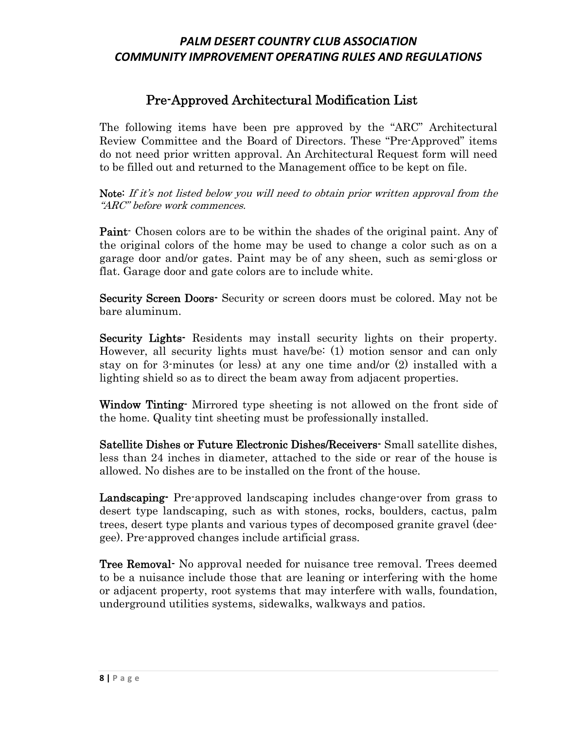# Pre-Approved Architectural Modification List

The following items have been pre approved by the "ARC" Architectural Review Committee and the Board of Directors. These "Pre-Approved" items do not need prior written approval. An Architectural Request form will need to be filled out and returned to the Management office to be kept on file.

Note: If it's not listed below you will need to obtain prior written approval from the "ARC" before work commences.

Paint- Chosen colors are to be within the shades of the original paint. Any of the original colors of the home may be used to change a color such as on a garage door and/or gates. Paint may be of any sheen, such as semi-gloss or flat. Garage door and gate colors are to include white.

Security Screen Doors- Security or screen doors must be colored. May not be bare aluminum.

Security Lights<sup>-</sup> Residents may install security lights on their property. However, all security lights must have/be: (1) motion sensor and can only stay on for 3-minutes (or less) at any one time and/or (2) installed with a lighting shield so as to direct the beam away from adjacent properties.

Window Tinting-Mirrored type sheeting is not allowed on the front side of the home. Quality tint sheeting must be professionally installed.

Satellite Dishes or Future Electronic Dishes/Receivers- Small satellite dishes, less than 24 inches in diameter, attached to the side or rear of the house is allowed. No dishes are to be installed on the front of the house.

Landscaping- Pre-approved landscaping includes change-over from grass to desert type landscaping, such as with stones, rocks, boulders, cactus, palm trees, desert type plants and various types of decomposed granite gravel (deegee). Pre-approved changes include artificial grass.

**Tree Removal-** No approval needed for nuisance tree removal. Trees deemed to be a nuisance include those that are leaning or interfering with the home or adjacent property, root systems that may interfere with walls, foundation, underground utilities systems, sidewalks, walkways and patios.